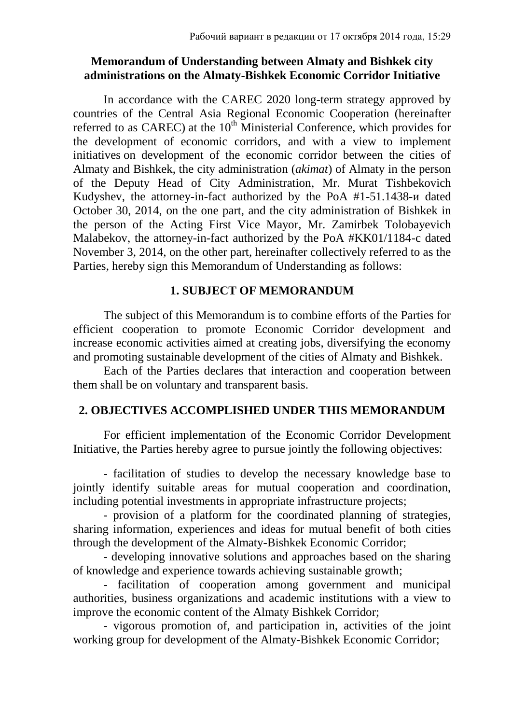## **Memorandum of Understanding between Almaty and Bishkek city administrations on the Almaty-Bishkek Economic Corridor Initiative**

In accordance with the CAREC 2020 long-term strategy approved by countries of the Central Asia Regional Economic Cooperation (hereinafter referred to as CAREC) at the  $10<sup>th</sup>$  Ministerial Conference, which provides for the development of economic corridors, and with a view to implement initiatives on development of the economic corridor between the cities of Almaty and Bishkek, the city administration (*akimat*) of Almaty in the person of the Deputy Head of City Administration, Mr. Murat Tishbekovich Kudyshev, the attorney-in-fact authorized by the PoA #1-51.1438-и dated October 30, 2014, on the one part, and the city administration of Bishkek in the person of the Acting First Vice Mayor, Mr. Zamirbek Tolobayevich Malabekov, the attorney-in-fact authorized by the PoA #KK01/1184-c dated November 3, 2014, on the other part, hereinafter collectively referred to as the Parties, hereby sign this Memorandum of Understanding as follows:

## **1. SUBJECT OF MEMORANDUM**

The subject of this Memorandum is to combine efforts of the Parties for efficient cooperation to promote Economic Corridor development and increase economic activities aimed at creating jobs, diversifying the economy and promoting sustainable development of the cities of Almaty and Bishkek.

Each of the Parties declares that interaction and cooperation between them shall be on voluntary and transparent basis.

# **2. OBJECTIVES ACCOMPLISHED UNDER THIS MEMORANDUM**

For efficient implementation of the Economic Corridor Development Initiative, the Parties hereby agree to pursue jointly the following objectives:

- facilitation of studies to develop the necessary knowledge base to jointly identify suitable areas for mutual cooperation and coordination, including potential investments in appropriate infrastructure projects;

- provision of a platform for the coordinated planning of strategies, sharing information, experiences and ideas for mutual benefit of both cities through the development of the Almaty-Bishkek Economic Corridor;

- developing innovative solutions and approaches based on the sharing of knowledge and experience towards achieving sustainable growth;

- facilitation of cooperation among government and municipal authorities, business organizations and academic institutions with a view to improve the economic content of the Almaty Bishkek Corridor;

- vigorous promotion of, and participation in, activities of the joint working group for development of the Almaty-Bishkek Economic Corridor;